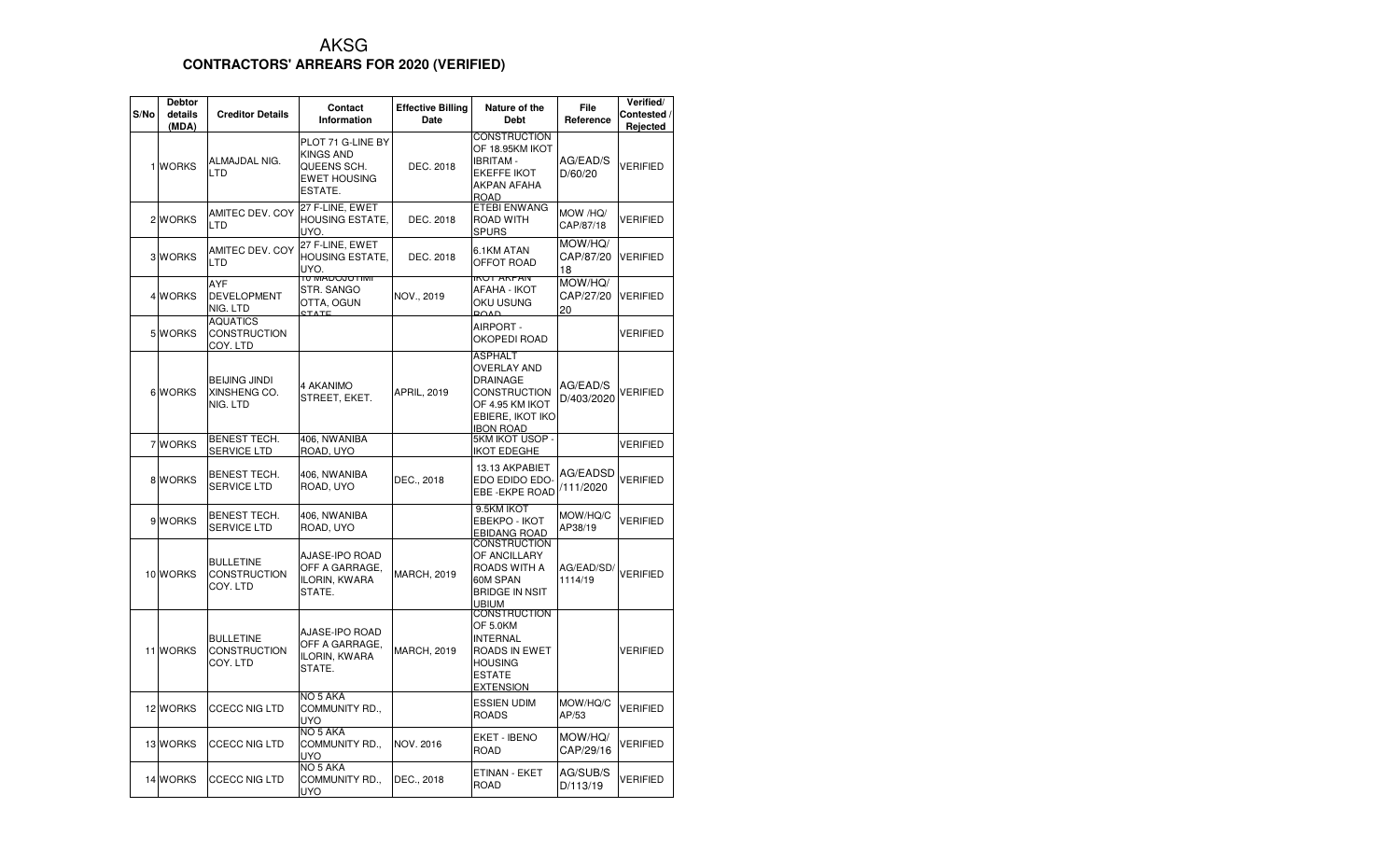## AKSG**CONTRACTORS' ARREARS FOR 2020 (VERIFIED)**

| S/No | <b>Debtor</b><br>details<br>(MDA) | <b>Creditor Details</b>                             | Contact<br>Information                                                                 | <b>Effective Billing</b><br>Date | Nature of the<br><b>Debt</b>                                                                                                              | File<br>Reference          | Verified/<br>Contested /<br>Rejected |
|------|-----------------------------------|-----------------------------------------------------|----------------------------------------------------------------------------------------|----------------------------------|-------------------------------------------------------------------------------------------------------------------------------------------|----------------------------|--------------------------------------|
|      | 1 WORKS                           | ALMAJDAL NIG.<br>LTD                                | PLOT 71 G-LINE BY<br><b>KINGS AND</b><br>QUEENS SCH.<br><b>EWET HOUSING</b><br>ESTATE. | DEC. 2018                        | <b>CONSTRUCTION</b><br>OF 18.95KM IKOT<br><b>IBRITAM-</b><br><b>EKEFFE IKOT</b><br>AKPAN AFAHA<br><b>ROAD</b>                             | AG/EAD/S<br>D/60/20        | <b>VERIFIED</b>                      |
|      | 2 WORKS                           | AMITEC DEV. COY<br><b>LTD</b>                       | 27 F-LINE, EWET<br><b>HOUSING ESTATE,</b><br>UYO.                                      | DEC. 2018                        | <b>ETEBI ENWANG</b><br>ROAD WITH<br><b>SPURS</b>                                                                                          | MOW /HQ/<br>CAP/87/18      | VERIFIED                             |
|      | 3 WORKS                           | AMITEC DEV. COY<br>LTD                              | 27 F-LINE, EWET<br><b>HOUSING ESTATE.</b><br>UYO.                                      | DEC. 2018                        | 6.1KM ATAN<br>OFFOT ROAD                                                                                                                  | MOW/HQ/<br>CAP/87/20<br>18 | <b>VERIFIED</b>                      |
|      | 4 WORKS                           | AYF<br><b>DEVELOPMENT</b><br>NIG. LTD               | <b>TU IVIADOJU LIIVII</b><br>STR. SANGO<br>OTTA, OGUN<br><b>STATE</b>                  | NOV., 2019                       | <b>INUT ANPAIN</b><br>AFAHA - IKOT<br>OKU USUNG<br>ROAD.                                                                                  | MOW/HQ/<br>CAP/27/20<br>20 | VERIFIED                             |
|      | 5 WORKS                           | <b>AQUATICS</b><br><b>CONSTRUCTION</b><br>COY. LTD  |                                                                                        |                                  | AIRPORT -<br>OKOPEDI ROAD                                                                                                                 |                            | <b>VERIFIED</b>                      |
|      | 6 WORKS                           | <b>BEIJING JINDI</b><br>XINSHENG CO.<br>NIG. LTD    | 4 AKANIMO<br>STREET, EKET.                                                             | <b>APRIL, 2019</b>               | <b>ASPHALT</b><br><b>OVERLAY AND</b><br><b>DRAINAGE</b><br><b>CONSTRUCTION</b><br>OF 4.95 KM IKOT<br>EBIERE, IKOT IKO<br><b>IBON ROAD</b> | AG/EAD/S<br>D/403/2020     | VERIFIED                             |
|      | 7 WORKS                           | <b>BENEST TECH.</b><br><b>SERVICE LTD</b>           | 406, NWANIBA<br>ROAD, UYO                                                              |                                  | 5KM IKOT USOP -<br><b>IKOT EDEGHE</b>                                                                                                     |                            | VERIFIED                             |
|      | 8 WORKS                           | <b>BENEST TECH.</b><br><b>SERVICE LTD</b>           | 406, NWANIBA<br>ROAD, UYO                                                              | DEC., 2018                       | 13.13 AKPABIET<br>EDO EDIDO EDO-<br>EBE - EKPE ROAD                                                                                       | AG/EADSD<br>/111/2020      | VERIFIED                             |
|      | 9 WORKS                           | BENEST TECH.<br>SERVICE LTD                         | 406, NWANIBA<br>ROAD, UYO                                                              |                                  | 9.5KM IKOT<br><b>EBEKPO - IKOT</b><br>EBIDANG ROAD                                                                                        | MOW/HQ/C<br>AP38/19        | <b>VERIFIED</b>                      |
|      | 10 WORKS                          | <b>BULLETINE</b><br><b>CONSTRUCTION</b><br>COY. LTD | AJASE-IPO ROAD<br>OFF A GARRAGE.<br>ILORIN, KWARA<br>STATE.                            | <b>MARCH, 2019</b>               | <b>CONSTRUCTION</b><br>OF ANCILLARY<br>ROADS WITH A<br>60M SPAN<br><b>BRIDGE IN NSIT</b><br><b>UBIUM</b>                                  | AG/EAD/SD/<br>1114/19      | <b>VERIFIED</b>                      |
|      | 11 WORKS                          | BULLETINE<br><b>CONSTRUCTION</b><br>COY. LTD        | AJASE-IPO ROAD<br>OFF A GARRAGE.<br>ILORIN, KWARA<br>STATE.                            | <b>MARCH, 2019</b>               | <b>CONSTRUCTION</b><br>OF 5.0KM<br><b>INTERNAL</b><br>ROADS IN EWET<br><b>HOUSING</b><br><b>ESTATE</b><br><b>EXTENSION</b>                |                            | VERIFIED                             |
|      | 12 WORKS                          | <b>CCECC NIG LTD</b>                                | NO 5 AKA<br>COMMUNITY RD.,<br><b>UYO</b>                                               |                                  | <b>ESSIEN UDIM</b><br><b>ROADS</b>                                                                                                        | MOW/HQ/C<br>AP/53          | <b>VERIFIED</b>                      |
|      | 13 WORKS                          | <b>CCECC NIG LTD</b>                                | NO <sub>5</sub> AKA<br>COMMUNITY RD.,<br><b>UYO</b>                                    | NOV. 2016                        | EKET - IBENO<br>ROAD                                                                                                                      | MOW/HQ/<br>CAP/29/16       | <b>VERIFIED</b>                      |
|      | 14 WORKS                          | <b>CCECC NIG LTD</b>                                | NO 5 AKA<br>COMMUNITY RD.,<br>UYO                                                      | DEC., 2018                       | ETINAN - EKET<br><b>ROAD</b>                                                                                                              | AG/SUB/S<br>D/113/19       | <b>VERIFIED</b>                      |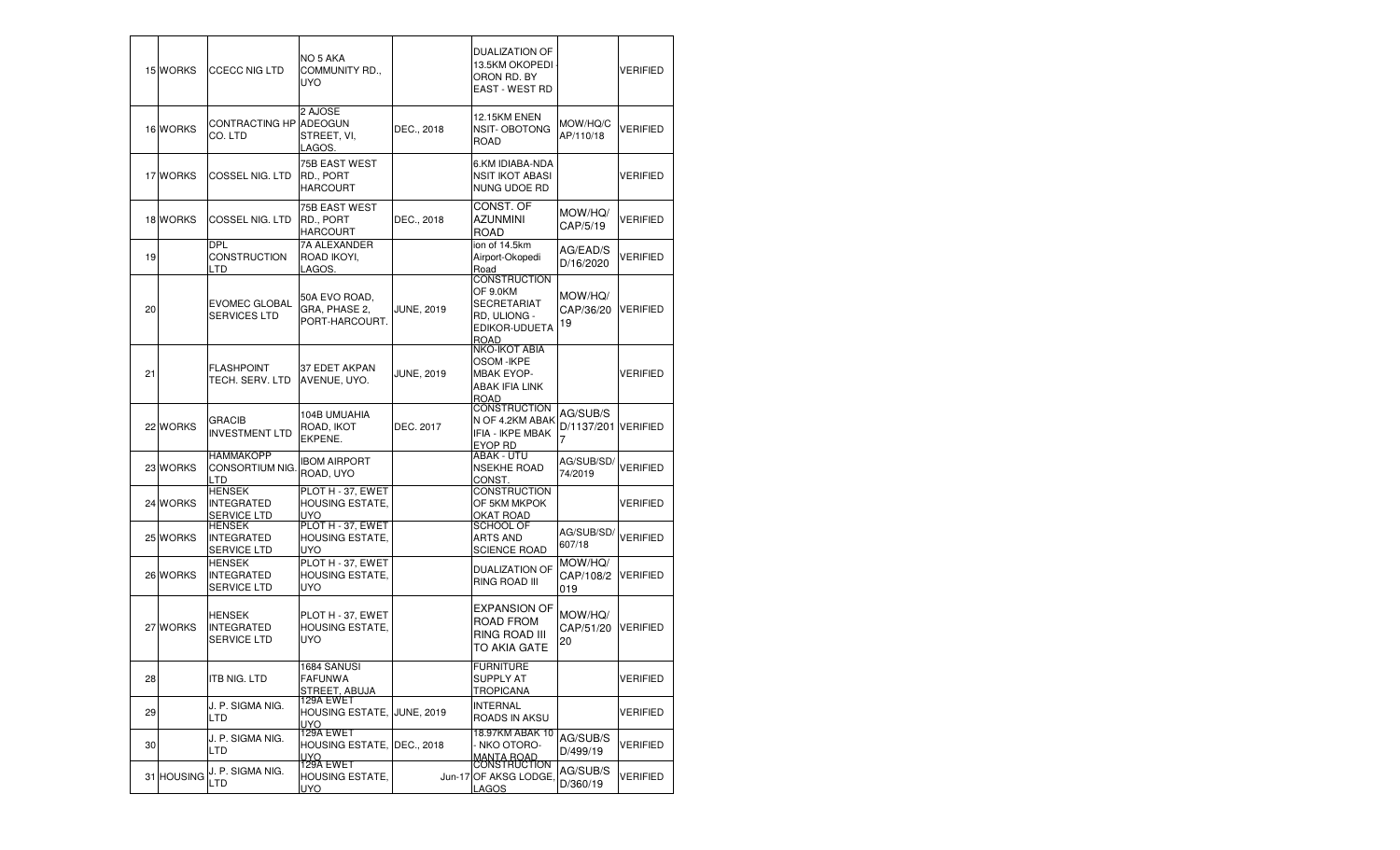|    | 15 WORKS   | <b>CCECC NIG LTD</b>                                     | NO 5 AKA<br>COMMUNITY RD.,<br><b>UYO</b>                  |                   | DUALIZATION OF<br>13.5KM OKOPEDI<br>ORON RD. BY<br><b>EAST - WEST RD</b>                       |                                      | <b>VERIFIED</b> |
|----|------------|----------------------------------------------------------|-----------------------------------------------------------|-------------------|------------------------------------------------------------------------------------------------|--------------------------------------|-----------------|
|    | 16 WORKS   | CONTRACTING HP ADEOGUN<br>CO. LTD                        | 2 AJOSE<br>STREET, VI,<br>LAGOS.                          | DEC., 2018        | <b>12.15KM ENEN</b><br>NSIT-OBOTONG<br><b>ROAD</b>                                             | MOW/HQ/C<br>AP/110/18                | VERIFIED        |
|    | 17 WORKS   | COSSEL NIG. LTD                                          | 75B EAST WEST<br>RD., PORT<br><b>HARCOURT</b>             |                   | 6.KM IDIABA-NDA<br><b>NSIT IKOT ABASI</b><br>NUNG UDOE RD                                      |                                      | <b>VERIFIED</b> |
|    | 18 WORKS   | <b>COSSEL NIG. LTD</b>                                   | 75B EAST WEST<br>RD., PORT<br><b>HARCOURT</b>             | DEC., 2018        | CONST. OF<br>AZUNMINI<br><b>ROAD</b>                                                           | MOW/HQ/<br>CAP/5/19                  | VERIFIED        |
| 19 |            | <b>DPL</b><br><b>CONSTRUCTION</b><br>LTD                 | 7A ALEXANDER<br>ROAD IKOYI,<br>LAGOS.                     |                   | ion of 14.5km<br>Airport-Okopedi<br>Road                                                       | AG/EAD/S<br>D/16/2020                | VERIFIED        |
| 20 |            | <b>EVOMEC GLOBAL</b><br><b>SERVICES LTD</b>              | 50A EVO ROAD,<br>GRA, PHASE 2,<br>PORT-HARCOURT.          | <b>JUNE, 2019</b> | CONSTRUCTION<br>OF 9.0KM<br>SECRETARIAT<br>RD, ULIONG -<br>EDIKOR-UDUETA<br><b>ROAD</b>        | MOW/HQ/<br>CAP/36/20<br>19           | <b>VERIFIED</b> |
| 21 |            | <b>FLASHPOINT</b><br>TECH. SERV. LTD                     | 37 EDET AKPAN<br>AVENUE, UYO.                             | <b>JUNE, 2019</b> | NKO-IKOT ABIA<br><b>OSOM-IKPE</b><br><b>MBAK EYOP-</b><br><b>ABAK IFIA LINK</b><br><b>ROAD</b> |                                      | VERIFIED        |
|    | 22 WORKS   | GRACIB<br><b>INVESTMENT LTD</b>                          | 104B UMUAHIA<br>ROAD, IKOT<br>EKPENE.                     | DEC. 2017         | CONSTRUCTION<br>N OF 4.2KM ABAK<br><b>IFIA - IKPE MBAK</b><br>EYOP RD                          | AG/SUB/S<br>D/1137/201 VERIFIED<br>7 |                 |
|    | 23 WORKS   | <b>HAMMAKOPP</b><br>CONSORTIUM NIG.<br><b>LTD</b>        | <b>IBOM AIRPORT</b><br>ROAD, UYO                          |                   | ABAK - UTU<br><b>NSEKHE ROAD</b><br>CONST.                                                     | AG/SUB/SD/<br>74/2019                | <b>VERIFIED</b> |
|    | 24 WORKS   | <b>HENSEK</b><br><b>INTEGRATED</b><br><b>SERVICE LTD</b> | PLOT H - 37, EWET<br><b>HOUSING ESTATE,</b><br><b>UYO</b> |                   | CONSTRUCTION<br>OF 5KM MKPOK<br>OKAT ROAD                                                      |                                      | <b>VERIFIED</b> |
|    | 25 WORKS   | <b>HENSEK</b><br><b>INTEGRATED</b><br><b>SERVICE LTD</b> | PLOT H - 37, EWET<br><b>HOUSING ESTATE,</b><br>UYO        |                   | SCHOOL OF<br><b>ARTS AND</b><br><b>SCIENCE ROAD</b>                                            | AG/SUB/SD/<br>607/18                 | <b>VERIFIED</b> |
|    | 26 WORKS   | <b>HENSEK</b><br><b>INTEGRATED</b><br><b>SERVICE LTD</b> | PLOT H - 37, EWET<br><b>HOUSING ESTATE,</b><br><b>UYO</b> |                   | <b>DUALIZATION OF</b><br>RING ROAD III                                                         | MOW/HQ/<br>CAP/108/2<br>019          | <b>VERIFIED</b> |
|    | 27 WORKS   | <b>HENSEK</b><br><b>INTEGRATED</b><br><b>SERVICE LTD</b> | PLOT H - 37, EWET<br><b>HOUSING ESTATE,</b><br><b>UYO</b> |                   | <b>EXPANSION OF</b><br>ROAD FROM<br>RING ROAD III<br>TO AKIA GATE                              | MOW/HQ/<br>CAP/51/20<br>20           | <b>VERIFIED</b> |
| 28 |            | ITB NIG. LTD                                             | 1684 SANUSI<br><b>FAFUNWA</b><br>STREET, ABUJA            |                   | <b>FURNITURE</b><br>SUPPLY AT<br><b>TROPICANA</b>                                              |                                      | VERIFIED        |
| 29 |            | J. P. SIGMA NIG.<br>LTD                                  | 129A EWET<br>HOUSING ESTATE, JUNE, 2019<br>UYO.           |                   | INTERNAL<br>ROADS IN AKSU                                                                      |                                      | VERIFIED        |
| 30 |            | J. P. SIGMA NIG.<br>LTD                                  | 129A EWET<br>HOUSING ESTATE, IDEC., 2018<br>UYO.          |                   | <u>18.97KM ABAK 10</u><br>- NKO OTORO-<br>MANTA ROAD<br>CONSTRUCTION                           | AG/SUB/S<br>D/499/19                 | VERIFIED        |
|    | 31 HOUSING | J. P. SIGMA NIG.<br><b>LTD</b>                           | 129A EWET<br>HOUSING ESTATE,<br><u>UYO </u>               |                   | Jun-17 OF AKSG LODGE,<br><b>LAGOS</b>                                                          | AG/SUB/S<br>D/360/19                 | VERIFIED        |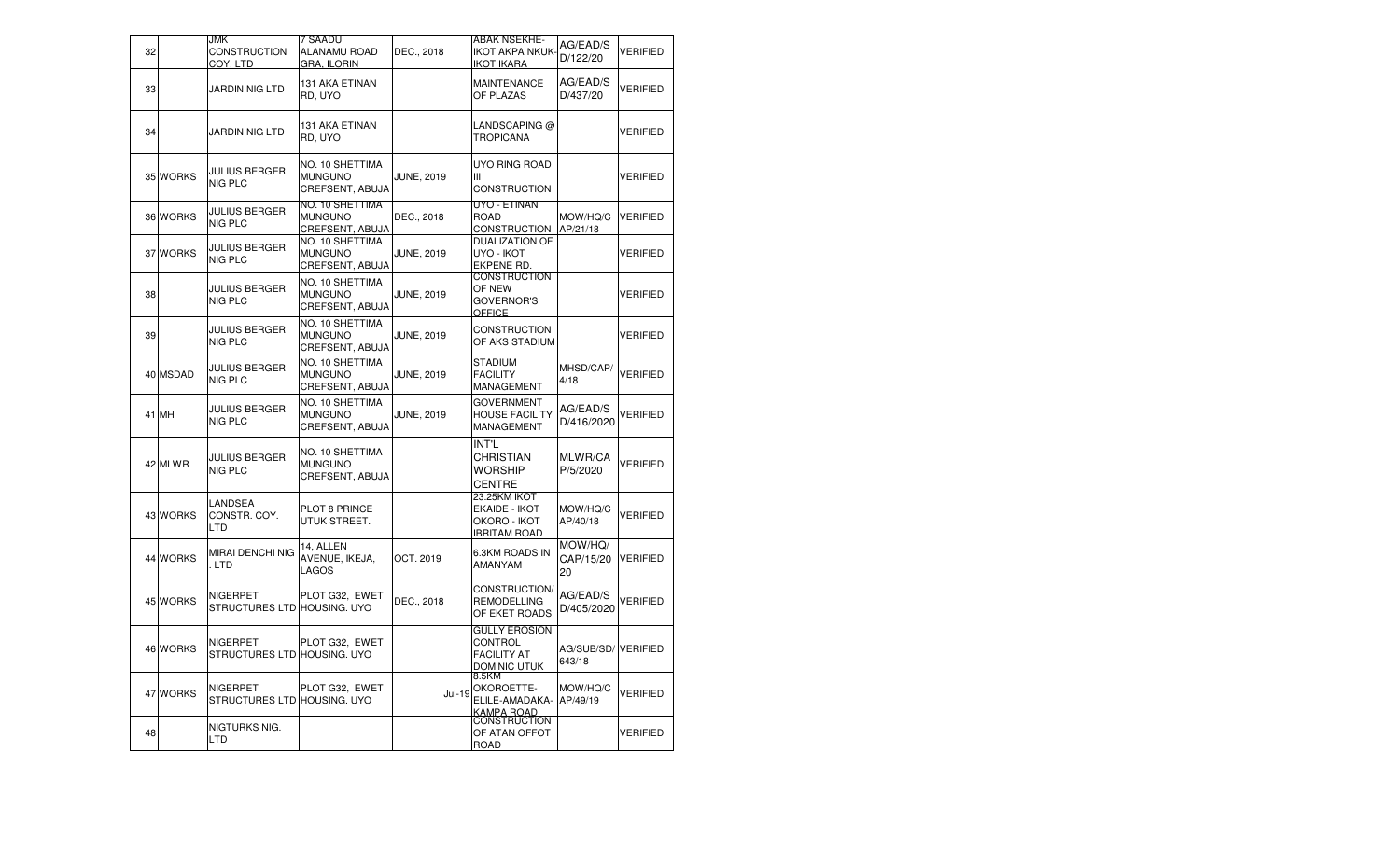| 32 |          | <b>JMK</b><br><b>CONSTRUCTION</b><br>COY. LTD  | 7 SAADU<br>ALANAMU ROAD<br><b>GRA. ILORIN</b>               | DEC., 2018        | ABAK NSEKHE-<br><b>IKOT AKPA NKUK</b><br>IKOT IKARA                   | AG/EAD/S<br>D/122/20         | VERIFIED |
|----|----------|------------------------------------------------|-------------------------------------------------------------|-------------------|-----------------------------------------------------------------------|------------------------------|----------|
| 33 |          | JARDIN NIG LTD                                 | 131 AKA ETINAN<br>RD, UYO                                   |                   | MAINTENANCE<br>OF PLAZAS                                              | AG/EAD/S<br>D/437/20         | VERIFIED |
| 34 |          | JARDIN NIG LTD                                 | 131 AKA ETINAN<br>RD, UYO                                   |                   | LANDSCAPING @<br><b>TROPICANA</b>                                     |                              | VERIFIED |
|    | 35 WORKS | JULIUS BERGER<br><b>NIG PLC</b>                | NO. 10 SHETTIMA<br><b>MUNGUNO</b><br>CREFSENT, ABUJA        | <b>JUNE, 2019</b> | UYO RING ROAD<br>Ш<br>CONSTRUCTION                                    |                              | VERIFIED |
|    | 36 WORKS | <b>JULIUS BERGER</b><br><b>NIG PLC</b>         | NO. 10 SHETTIMA<br><b>MUNGUNO</b><br><b>CREFSENT, ABUJA</b> | DEC., 2018        | UYO - ETINAN<br><b>ROAD</b><br><b>CONSTRUCTION</b>                    | MOW/HQ/C<br>AP/21/18         | VERIFIED |
|    | 37 WORKS | JULIUS BERGER<br>NIG PLC                       | NO. 10 SHETTIMA<br><b>MUNGUNO</b><br>CREFSENT, ABUJA        | <b>JUNE, 2019</b> | <b>DUALIZATION OF</b><br>UYO - IKOT<br>EKPENE RD.                     |                              | VERIFIED |
| 38 |          | <b>JULIUS BERGER</b><br><b>NIG PLC</b>         | NO. 10 SHETTIMA<br><b>MUNGUNO</b><br>CREFSENT, ABUJA        | <b>JUNE, 2019</b> | <b>CONSTRUCTION</b><br>OF NEW<br><b>GOVERNOR'S</b><br><b>OFFICE</b>   |                              | VERIFIED |
| 39 |          | JULIUS BERGER<br>NIG PLC                       | NO. 10 SHETTIMA<br><b>MUNGUNO</b><br>CREFSENT, ABUJA        | <b>JUNE, 2019</b> | CONSTRUCTION<br>OF AKS STADIUM                                        |                              | VERIFIED |
|    | 40 MSDAD | <b>JULIUS BERGER</b><br>NIG PLC                | NO. 10 SHETTIMA<br><b>MUNGUNO</b><br>CREFSENT, ABUJA        | <b>JUNE, 2019</b> | <b>STADIUM</b><br><b>FACILITY</b><br>MANAGEMENT                       | MHSD/CAP/<br>4/18            | VERIFIED |
|    | 41 MH    | <b>JULIUS BERGER</b><br><b>NIG PLC</b>         | NO. 10 SHETTIMA<br><b>MUNGUNO</b><br>CREFSENT, ABUJA        | <b>JUNE, 2019</b> | <b>GOVERNMENT</b><br><b>HOUSE FACILITY</b><br>MANAGEMENT              | AG/EAD/S<br>D/416/2020       | VERIFIED |
|    | 42 MLWR  | <b>JULIUS BERGER</b><br>NIG PLC                | NO. 10 SHETTIMA<br><b>MUNGUNO</b><br>CREFSENT, ABUJA        |                   | INT'L<br>CHRISTIAN<br>Worship<br><b>CENTRE</b>                        | MLWR/CA<br>P/5/2020          | VERIFIED |
|    | 43 WORKS | LANDSEA<br>CONSTR. COY.<br>LTD                 | PLOT 8 PRINCE<br>UTUK STREET.                               |                   | 23.25KM IKOT<br>EKAIDE - IKOT<br>OKORO - IKOT<br><b>IBRITAM ROAD</b>  | MOW/HQ/C<br>AP/40/18         | VERIFIED |
|    | 44 WORKS | MIRAI DENCHI NIG<br>. LTD                      | 14, ALLEN<br>AVENUE, IKEJA,<br>LAGOS                        | OCT. 2019         | 6.3KM ROADS IN<br>AMANYAM                                             | MOW/HQ/<br>CAP/15/20<br>20   | VERIFIED |
|    | 45 WORKS | <b>NIGERPET</b><br>STRUCTURES LTD HOUSING. UYO | PLOT G32, EWET                                              | DEC., 2018        | CONSTRUCTION/<br><b>REMODELLING</b><br>OF EKET ROADS                  | AG/EAD/S<br>D/405/2020       | VERIFIED |
|    | 46 WORKS | NIGERPET<br>STRUCTURES LTD HOUSING. UYO        | PLOT G32, EWET                                              |                   | <b>GULLY EROSION</b><br>CONTROL<br><b>FACILITY AT</b><br>DOMINIC UTUK | AG/SUB/SD/VERIFIED<br>643/18 |          |
|    | 47 WORKS | NIGERPET<br>STRUCTURES LTD HOUSING. UYO        | PLOT G32, EWET                                              | Jul-19            | 8.5KM<br>OKOROETTE-<br>ELILE-AMADAKA-<br>KAMPA ROAD                   | MOW/HQ/C<br>AP/49/19         | VERIFIED |
| 48 |          | NIGTURKS NIG.<br>LTD                           |                                                             |                   | <b>CONSTRUCTION</b><br>OF ATAN OFFOT<br>ROAD                          |                              | VERIFIED |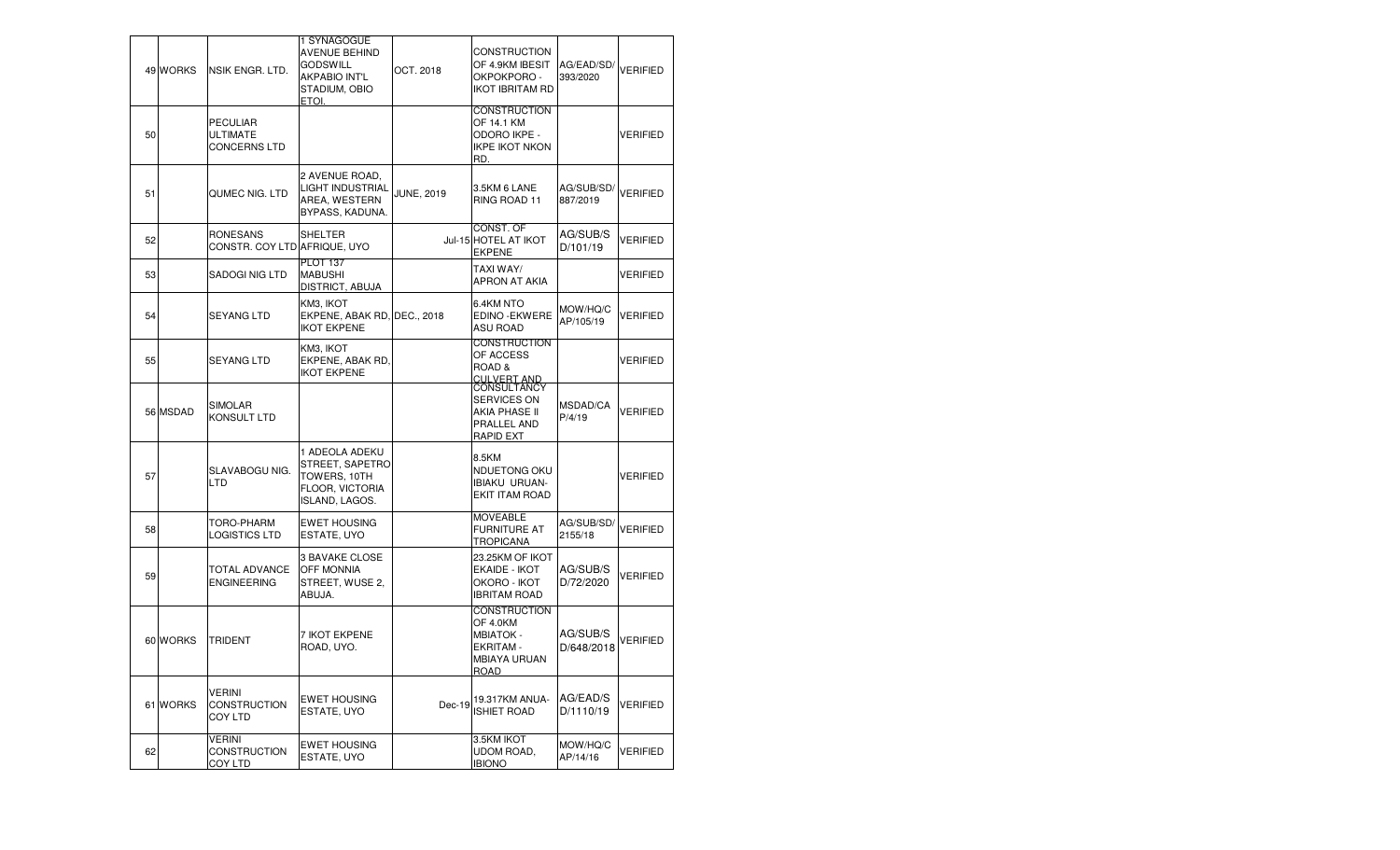|    | 49 WORKS | NSIK ENGR. LTD.                             | 1 SYNAGOGUE<br><b>AVENUE BEHIND</b><br><b>GODSWILL</b><br><b>AKPABIO INT'L</b><br>STADIUM, OBIO<br>ETOI. | OCT. 2018         | CONSTRUCTION<br>OF 4.9KM IBESIT<br>OKPOKPORO -<br><b>IKOT IBRITAM RD</b>          | AG/EAD/SD/<br>393/2020 | VERIFIED        |
|----|----------|---------------------------------------------|----------------------------------------------------------------------------------------------------------|-------------------|-----------------------------------------------------------------------------------|------------------------|-----------------|
| 50 |          | <b>PECULIAR</b><br>ULTIMATE<br>CONCERNS LTD |                                                                                                          |                   | <b>CONSTRUCTION</b><br>OF 14.1 KM<br>ODORO IKPE -<br><b>IKPE IKOT NKON</b><br>RD. |                        | VERIFIED        |
| 51 |          | QUMEC NIG. LTD                              | 2 AVENUE ROAD,<br><b>LIGHT INDUSTRIAL</b><br>AREA, WESTERN<br>BYPASS, KADUNA.                            | <b>JUNE, 2019</b> | 3.5KM 6 LANE<br>RING ROAD 11                                                      | AG/SUB/SD/<br>887/2019 | <b>VERIFIED</b> |
| 52 |          | RONESANS<br>CONSTR. COY LTD AFRIQUE, UYO    | SHELTER                                                                                                  |                   | CONST. OF<br>Jul-15 HOTEL AT IKOT<br>EKPENE                                       | AG/SUB/S<br>D/101/19   | <b>VERIFIED</b> |
| 53 |          | SADOGI NIG LTD                              | <b>PLOT 137</b><br><b>MABUSHI</b><br>DISTRICT, ABUJA                                                     |                   | TAXI WAY/<br>APRON AT AKIA                                                        |                        | VERIFIED        |
| 54 |          | SEYANG LTD                                  | KM3, IKOT<br>EKPENE, ABAK RD, DEC., 2018<br><b>IKOT EKPENE</b>                                           |                   | 6.4KM NTO<br>EDINO - EKWERE<br><b>ASU ROAD</b>                                    | MOW/HQ/C<br>AP/105/19  | <b>VERIFIED</b> |
| 55 |          | SEYANG LTD                                  | KM3, IKOT<br>EKPENE, ABAK RD,<br><b>IKOT EKPENE</b>                                                      |                   | CONSTRUCTION<br>OF ACCESS<br>ROAD&<br><b>CULVERT AND</b>                          |                        | VERIFIED        |
|    | 56 MSDAD | <b>SIMOLAR</b><br>KONSULT LTD               |                                                                                                          |                   | <b>CONSULTANCY</b><br>SERVICES ON<br>AKIA PHASE II<br>PRALLEL AND<br>RAPID EXT    | MSDAD/CA<br>P/4/19     | VERIFIED        |
| 57 |          | SLAVABOGU NIG.<br>LTD                       | 1 ADEOLA ADEKU<br>STREET, SAPETRO<br>TOWERS, 10TH<br>FLOOR, VICTORIA<br>ISLAND, LAGOS.                   |                   | 8.5KM<br>NDUETONG OKU<br><b>IBIAKU URUAN-</b><br>EKIT ITAM ROAD                   |                        | VERIFIED        |
| 58 |          | TORO-PHARM<br>LOGISTICS LTD                 | <b>EWET HOUSING</b><br>ESTATE, UYO                                                                       |                   | <b>MOVEABLE</b><br>FURNITURE AT<br>TROPICANA                                      | AG/SUB/SD/<br>2155/18  | <b>VERIFIED</b> |
| 59 |          | TOTAL ADVANCE<br><b>ENGINEERING</b>         | 3 BAVAKE CLOSE<br><b>OFF MONNIA</b><br>STREET, WUSE 2,<br>ABUJA.                                         |                   | 23.25KM OF IKOT<br>EKAIDE - IKOT<br>OKORO - IKOT<br><b>IBRITAM ROAD</b>           | AG/SUB/S<br>D/72/2020  | VERIFIED        |
|    | 60 WORKS | <b>TRIDENT</b>                              | 7 IKOT EKPENE<br>ROAD, UYO.                                                                              |                   | <b>CONSTRUCTION</b><br>OF 4.0KM<br>MBIATOK -<br>EKRITAM -<br>MBIAYA URUAN<br>ROAD | AG/SUB/S<br>D/648/2018 | VERIFIED        |
|    | 61 WORKS | VERINI<br>CONSTRUCTION<br>COY LTD           | <b>EWET HOUSING</b><br>ESTATE, UYO                                                                       | Dec-19            | 19.317KM ANUA-<br><b>ISHIET ROAD</b>                                              | AG/EAD/S<br>D/1110/19  | VERIFIED        |
| 62 |          | VERINI<br><b>CONSTRUCTION</b><br>COY LTD    | <b>EWET HOUSING</b><br>ESTATE, UYO                                                                       |                   | 3.5KM IKOT<br>UDOM ROAD,<br><b>IBIONO</b>                                         | MOW/HQ/C<br>AP/14/16   | VERIFIED        |